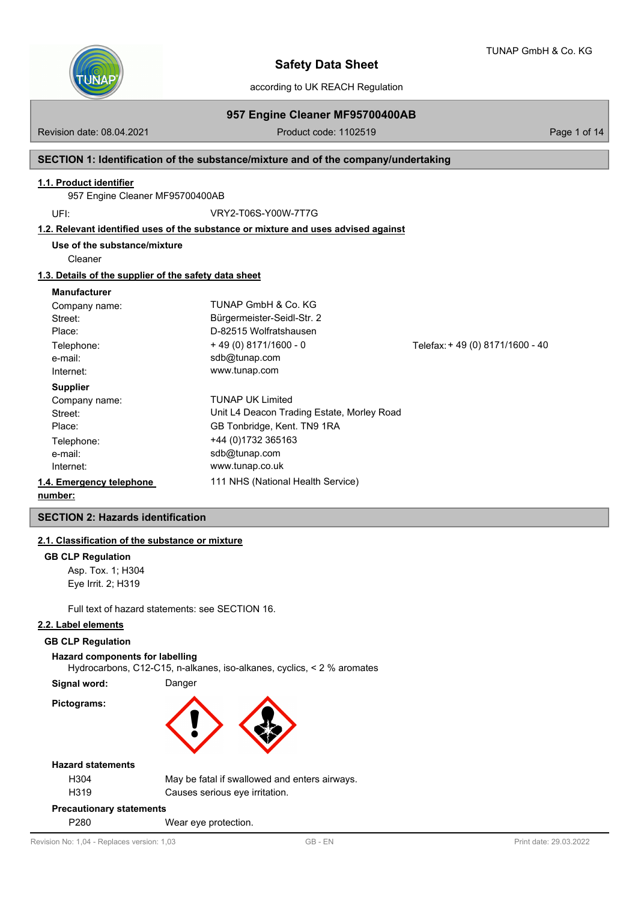

TUNAP GmbH & Co. KG

according to UK REACH Regulation

## Revision date: 08.04.2021 **Product code: 1102519** Page 1 of 14

**957 Engine Cleaner MF95700400AB**

## **SECTION 1: Identification of the substance/mixture and of the company/undertaking**

### **1.1. Product identifier**

957 Engine Cleaner MF95700400AB

UFI: VRY2-T06S-Y00W-7T7G

## **1.2. Relevant identified uses of the substance or mixture and uses advised against**

**Use of the substance/mixture**

Cleaner

#### **1.3. Details of the supplier of the safety data sheet**

#### **Manufacturer**

| Company name:            | TUNAP GmbH & Co. KG                        |                                 |
|--------------------------|--------------------------------------------|---------------------------------|
| Street:                  | Bürgermeister-Seidl-Str. 2                 |                                 |
| Place:                   | D-82515 Wolfratshausen                     |                                 |
| Telephone:               | $+49(0)8171/1600 - 0$                      | Telefax: +49 (0) 8171/1600 - 40 |
| e-mail:                  | sdb@tunap.com                              |                                 |
| Internet:                | www.tunap.com                              |                                 |
| <b>Supplier</b>          |                                            |                                 |
| Company name:            | <b>TUNAP UK Limited</b>                    |                                 |
| Street:                  | Unit L4 Deacon Trading Estate, Morley Road |                                 |
| Place:                   | GB Tonbridge, Kent. TN9 1RA                |                                 |
| Telephone:               | +44 (0)1732 365163                         |                                 |
| e-mail:                  | sdb@tunap.com                              |                                 |
| Internet:                | www.tunap.co.uk                            |                                 |
| 1.4. Emergency telephone | 111 NHS (National Health Service)          |                                 |
| . <b>1.</b>              |                                            |                                 |

## **number:**

## **SECTION 2: Hazards identification**

## **2.1. Classification of the substance or mixture**

#### **GB CLP Regulation**

Asp. Tox. 1; H304 Eye Irrit. 2; H319

Full text of hazard statements: see SECTION 16.

## **2.2. Label elements**

#### **GB CLP Regulation**

**Hazard components for labelling**

Hydrocarbons, C12-C15, n-alkanes, iso-alkanes, cyclics, < 2 % aromates

**Signal word:** Danger





#### **Hazard statements**

| H304 |  |
|------|--|
| H319 |  |

May be fatal if swallowed and enters airways. Causes serious eye irritation.

#### **Precautionary statements**

P280 Wear eye protection.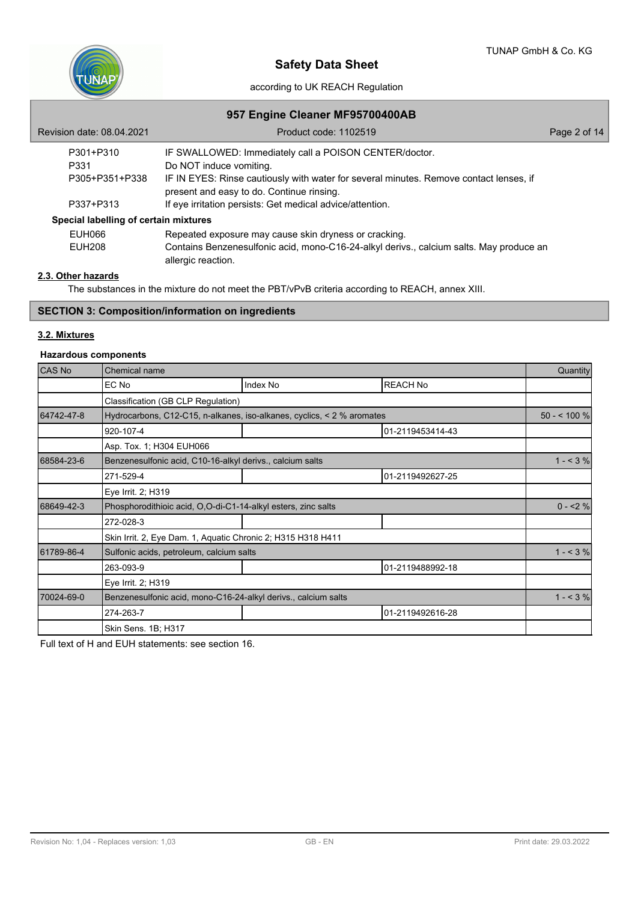

## **957 Engine Cleaner MF95700400AB**

| Revision date: 08.04.2021             | Product code: 1102519                                                                                                               | Page 2 of 14 |
|---------------------------------------|-------------------------------------------------------------------------------------------------------------------------------------|--------------|
| P301+P310                             | IF SWALLOWED: Immediately call a POISON CENTER/doctor.                                                                              |              |
| P331                                  | Do NOT induce vomiting.                                                                                                             |              |
| P305+P351+P338                        | IF IN EYES: Rinse cautiously with water for several minutes. Remove contact lenses, if<br>present and easy to do. Continue rinsing. |              |
| P337+P313                             | If eye irritation persists: Get medical advice/attention.                                                                           |              |
| Special labelling of certain mixtures |                                                                                                                                     |              |
| EUH066                                | Repeated exposure may cause skin dryness or cracking.                                                                               |              |
| <b>EUH208</b>                         | Contains Benzenesulfonic acid, mono-C16-24-alkyl derivs., calcium salts. May produce an<br>allergic reaction.                       |              |

## **2.3. Other hazards**

The substances in the mixture do not meet the PBT/vPvB criteria according to REACH, annex XIII.

# **SECTION 3: Composition/information on ingredients**

# **3.2. Mixtures**

## **Hazardous components**

| CAS No     | Chemical name                                                          |          |                  |              |
|------------|------------------------------------------------------------------------|----------|------------------|--------------|
|            | EC No                                                                  | Index No | <b>REACH No</b>  |              |
|            | Classification (GB CLP Regulation)                                     |          |                  |              |
| 64742-47-8 | Hydrocarbons, C12-C15, n-alkanes, iso-alkanes, cyclics, < 2 % aromates |          |                  | $50 - 100 %$ |
|            | 920-107-4                                                              |          | 01-2119453414-43 |              |
|            | Asp. Tox. 1; H304 EUH066                                               |          |                  |              |
| 68584-23-6 | Benzenesulfonic acid, C10-16-alkyl derivs., calcium salts              |          |                  | $1 - 3%$     |
|            | 271-529-4                                                              |          | 01-2119492627-25 |              |
|            | Eye Irrit. 2; H319                                                     |          |                  |              |
| 68649-42-3 | Phosphorodithioic acid, O,O-di-C1-14-alkyl esters, zinc salts          | $0 - 2%$ |                  |              |
|            | 272-028-3                                                              |          |                  |              |
|            | Skin Irrit. 2, Eye Dam. 1, Aquatic Chronic 2; H315 H318 H411           |          |                  |              |
| 61789-86-4 | Sulfonic acids, petroleum, calcium salts                               |          |                  | $1 - 3\%$    |
|            | 263-093-9                                                              |          | 01-2119488992-18 |              |
|            | Eye Irrit. 2; H319                                                     |          |                  |              |
| 70024-69-0 | Benzenesulfonic acid, mono-C16-24-alkyl derivs., calcium salts         |          |                  | $1 - 3\%$    |
|            | 274-263-7                                                              |          | 01-2119492616-28 |              |
|            | Skin Sens. 1B; H317                                                    |          |                  |              |

Full text of H and EUH statements: see section 16.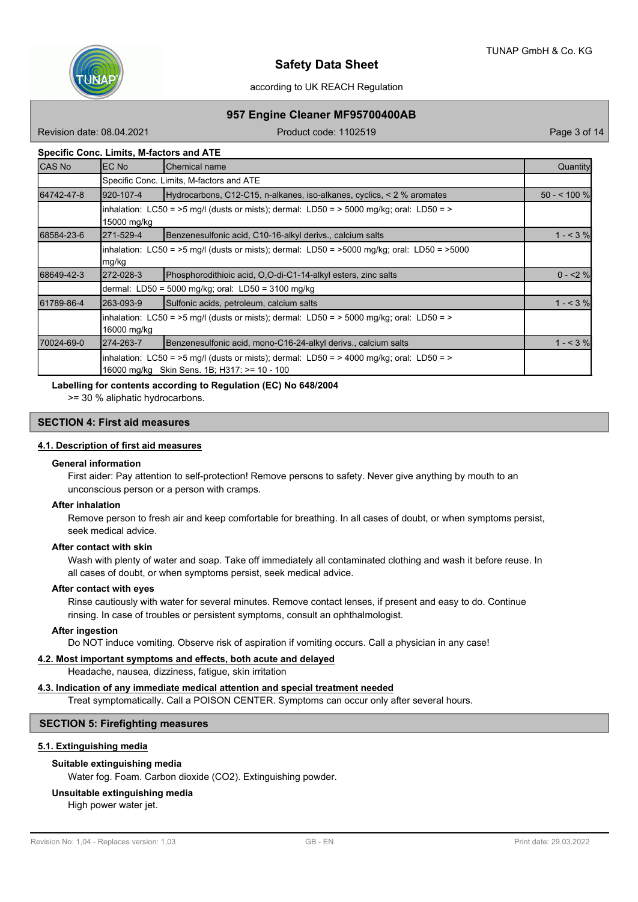

## **957 Engine Cleaner MF95700400AB**

Revision date: 08.04.2021 **Product code: 1102519** Page 3 of 14

## **Specific Conc. Limits, M-factors and ATE**

| <b>CAS No</b> | <b>EC No</b>                                                                                                      | lChemical name                                                                                                                           | Quantity     |  |  |  |  |
|---------------|-------------------------------------------------------------------------------------------------------------------|------------------------------------------------------------------------------------------------------------------------------------------|--------------|--|--|--|--|
|               | Specific Conc. Limits, M-factors and ATE                                                                          |                                                                                                                                          |              |  |  |  |  |
| 64742-47-8    | 920-107-4                                                                                                         | Hydrocarbons, C12-C15, n-alkanes, iso-alkanes, cyclics, $\leq$ 2 % aromates                                                              | $50 - 100$ % |  |  |  |  |
|               | $\lambda$ inhalation: LC50 = >5 mg/l (dusts or mists); dermal: LD50 = > 5000 mg/kg; oral: LD50 = ><br>15000 mg/kg |                                                                                                                                          |              |  |  |  |  |
| 68584-23-6    | 271-529-4                                                                                                         | Benzenesulfonic acid, C10-16-alkyl derivs., calcium salts                                                                                | $1 - 3%$     |  |  |  |  |
|               | inhalation: LC50 = >5 mg/l (dusts or mists); dermal: LD50 = >5000 mg/kg; oral: LD50 = >5000<br>mg/kg              |                                                                                                                                          |              |  |  |  |  |
| 68649-42-3    | 272-028-3                                                                                                         | Phosphorodithioic acid, O,O-di-C1-14-alkyl esters, zinc salts                                                                            | $0 - 2%$     |  |  |  |  |
|               | dermal: LD50 = 5000 mg/kg; oral: LD50 = 3100 mg/kg                                                                |                                                                                                                                          |              |  |  |  |  |
| 61789-86-4    | 263-093-9                                                                                                         | Sulfonic acids, petroleum, calcium salts                                                                                                 | $1 - 3%$     |  |  |  |  |
|               | inhalation: LC50 = >5 mg/l (dusts or mists); dermal: LD50 = > 5000 mg/kg; oral: LD50 = ><br>16000 mg/kg           |                                                                                                                                          |              |  |  |  |  |
| 70024-69-0    | 274-263-7                                                                                                         | Benzenesulfonic acid, mono-C16-24-alkyl derivs., calcium salts                                                                           | $1 - 3%$     |  |  |  |  |
|               |                                                                                                                   | inhalation: LC50 = >5 mg/l (dusts or mists); dermal: LD50 = > 4000 mg/kg; oral: LD50 = ><br>16000 mg/kg Skin Sens. 1B; H317: >= 10 - 100 |              |  |  |  |  |

#### **Labelling for contents according to Regulation (EC) No 648/2004**

>= 30 % aliphatic hydrocarbons.

## **SECTION 4: First aid measures**

## **4.1. Description of first aid measures**

#### **General information**

First aider: Pay attention to self-protection! Remove persons to safety. Never give anything by mouth to an unconscious person or a person with cramps.

#### **After inhalation**

Remove person to fresh air and keep comfortable for breathing. In all cases of doubt, or when symptoms persist, seek medical advice.

#### **After contact with skin**

Wash with plenty of water and soap. Take off immediately all contaminated clothing and wash it before reuse. In all cases of doubt, or when symptoms persist, seek medical advice.

#### **After contact with eyes**

Rinse cautiously with water for several minutes. Remove contact lenses, if present and easy to do. Continue rinsing. In case of troubles or persistent symptoms, consult an ophthalmologist.

## **After ingestion**

Do NOT induce vomiting. Observe risk of aspiration if vomiting occurs. Call a physician in any case!

#### **4.2. Most important symptoms and effects, both acute and delayed**

Headache, nausea, dizziness, fatigue, skin irritation

## **4.3. Indication of any immediate medical attention and special treatment needed**

Treat symptomatically. Call a POISON CENTER. Symptoms can occur only after several hours.

## **SECTION 5: Firefighting measures**

# **5.1. Extinguishing media**

#### **Suitable extinguishing media**

Water fog. Foam. Carbon dioxide (CO2). Extinguishing powder.

## **Unsuitable extinguishing media**

High power water jet.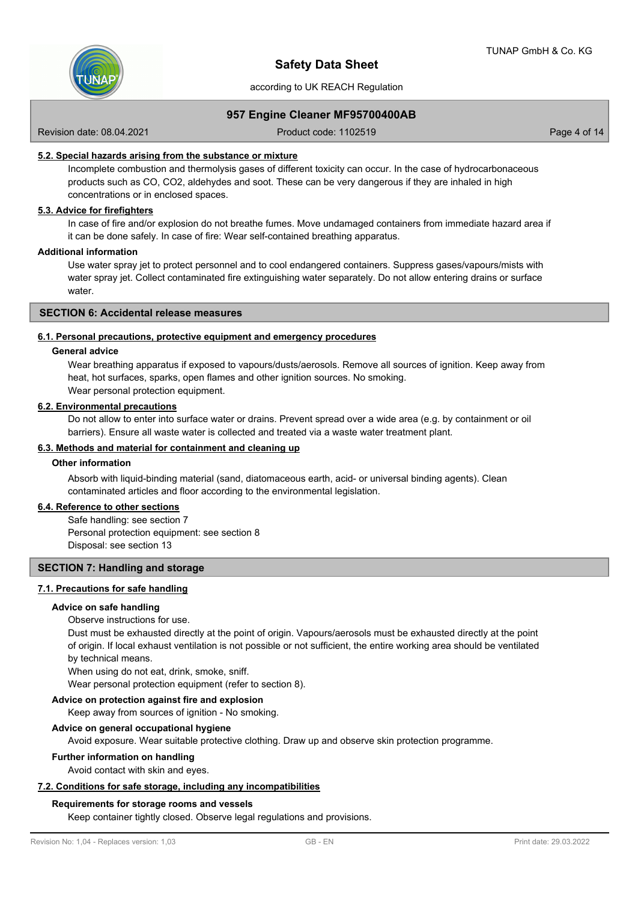

## **957 Engine Cleaner MF95700400AB**

Revision date: 08.04.2021 **Product code: 1102519** Page 4 of 14

## **5.2. Special hazards arising from the substance or mixture**

Incomplete combustion and thermolysis gases of different toxicity can occur. In the case of hydrocarbonaceous products such as CO, CO2, aldehydes and soot. These can be very dangerous if they are inhaled in high concentrations or in enclosed spaces.

## **5.3. Advice for firefighters**

In case of fire and/or explosion do not breathe fumes. Move undamaged containers from immediate hazard area if it can be done safely. In case of fire: Wear self-contained breathing apparatus.

### **Additional information**

Use water spray jet to protect personnel and to cool endangered containers. Suppress gases/vapours/mists with water spray jet. Collect contaminated fire extinguishing water separately. Do not allow entering drains or surface water

#### **SECTION 6: Accidental release measures**

#### **6.1. Personal precautions, protective equipment and emergency procedures**

#### **General advice**

Wear breathing apparatus if exposed to vapours/dusts/aerosols. Remove all sources of ignition. Keep away from heat, hot surfaces, sparks, open flames and other ignition sources. No smoking.

Wear personal protection equipment.

## **6.2. Environmental precautions**

Do not allow to enter into surface water or drains. Prevent spread over a wide area (e.g. by containment or oil barriers). Ensure all waste water is collected and treated via a waste water treatment plant.

## **6.3. Methods and material for containment and cleaning up**

#### **Other information**

Absorb with liquid-binding material (sand, diatomaceous earth, acid- or universal binding agents). Clean contaminated articles and floor according to the environmental legislation.

## **6.4. Reference to other sections**

Safe handling: see section 7 Personal protection equipment: see section 8 Disposal: see section 13

### **SECTION 7: Handling and storage**

#### **7.1. Precautions for safe handling**

#### **Advice on safe handling**

#### Observe instructions for use.

Dust must be exhausted directly at the point of origin. Vapours/aerosols must be exhausted directly at the point of origin. If local exhaust ventilation is not possible or not sufficient, the entire working area should be ventilated by technical means.

When using do not eat, drink, smoke, sniff.

Wear personal protection equipment (refer to section 8).

## **Advice on protection against fire and explosion**

Keep away from sources of ignition - No smoking.

#### **Advice on general occupational hygiene**

Avoid exposure. Wear suitable protective clothing. Draw up and observe skin protection programme.

#### **Further information on handling**

Avoid contact with skin and eyes.

## **7.2. Conditions for safe storage, including any incompatibilities**

#### **Requirements for storage rooms and vessels**

Keep container tightly closed. Observe legal regulations and provisions.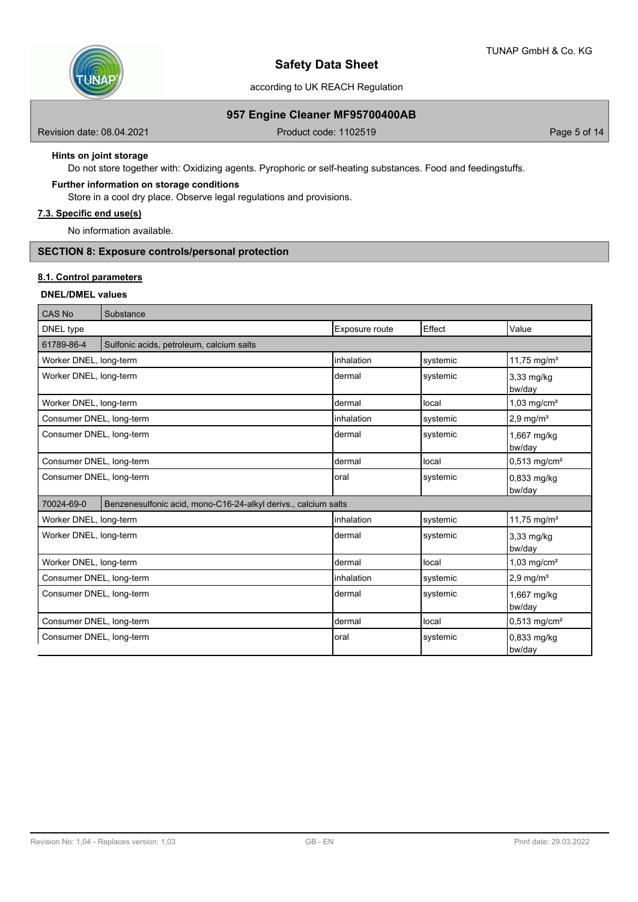

according to UK REACH Regulation

## **957 Engine Cleaner MF95700400AB**

Revision date: 08.04.2021 **Product code: 1102519** Page 5 of 14

## **Hints on joint storage**

Do not store together with: Oxidizing agents. Pyrophoric or self-heating substances. Food and feedingstuffs.

### **Further information on storage conditions**

Store in a cool dry place. Observe legal regulations and provisions.

# **7.3. Specific end use(s)**

No information available.

# **SECTION 8: Exposure controls/personal protection**

## **8.1. Control parameters**

# **DNEL/DMEL values**

| CAS No                   | Substance                                                      |                |          |                                |
|--------------------------|----------------------------------------------------------------|----------------|----------|--------------------------------|
| DNEL type                |                                                                | Exposure route | Effect   | Value                          |
| 61789-86-4               | Sulfonic acids, petroleum, calcium salts                       |                |          |                                |
| Worker DNEL, long-term   |                                                                | inhalation     | systemic | 11,75 mg/m <sup>3</sup>        |
| Worker DNEL, long-term   |                                                                | dermal         | systemic | $3,33 \text{ mg/kg}$<br>bw/day |
| Worker DNEL, long-term   |                                                                | dermal         | local    | $1,03$ mg/cm <sup>2</sup>      |
| Consumer DNEL, long-term |                                                                | inhalation     | systemic | $2.9$ mg/m <sup>3</sup>        |
| Consumer DNEL, long-term |                                                                | ldermal        | systemic | 1,667 mg/kg<br>bw/day          |
| Consumer DNEL, long-term |                                                                | Idermal        | local    | $0,513$ mg/cm <sup>2</sup>     |
| Consumer DNEL, long-term |                                                                | loral          | systemic | 0.833 mg/kg<br>bw/day          |
| 70024-69-0               | Benzenesulfonic acid, mono-C16-24-alkyl derivs., calcium salts |                |          |                                |
| Worker DNEL, long-term   |                                                                | inhalation     | systemic | 11,75 mg/ $m^3$                |
| Worker DNEL, long-term   |                                                                | dermal         | systemic | 3,33 mg/kg<br>bw/day           |
| Worker DNEL, long-term   |                                                                | dermal         | local    | $1,03$ mg/cm <sup>2</sup>      |
| Consumer DNEL, long-term |                                                                | linhalation    | systemic | $2,9$ mg/m <sup>3</sup>        |
| Consumer DNEL, long-term |                                                                | dermal         | systemic | 1,667 mg/kg<br>bw/day          |
| Consumer DNEL, long-term |                                                                | Idermal        | local    | $0,513$ mg/cm <sup>2</sup>     |
| Consumer DNEL, long-term |                                                                | loral          | systemic | 0,833 mg/kg<br>bw/dav          |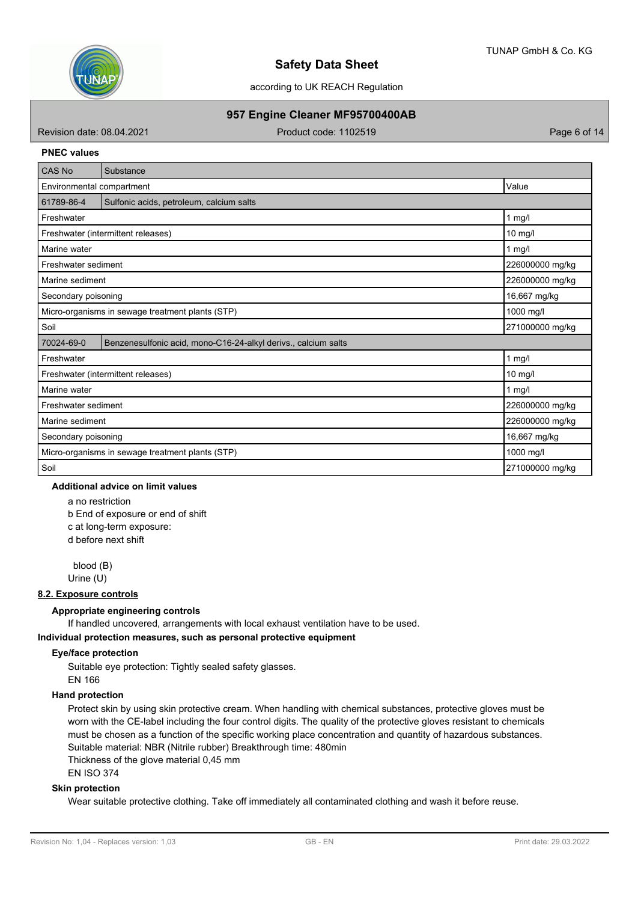

according to UK REACH Regulation

## **957 Engine Cleaner MF95700400AB**

Revision date: 08.04.2021 **Product code: 1102519** Page 6 of 14

#### **PNEC values**

| <b>CAS No</b>                                    | Substance                                                      |                 |
|--------------------------------------------------|----------------------------------------------------------------|-----------------|
| Environmental compartment                        | Value                                                          |                 |
| 61789-86-4                                       | Sulfonic acids, petroleum, calcium salts                       |                 |
| Freshwater                                       |                                                                | $1$ mg/l        |
|                                                  | Freshwater (intermittent releases)                             | 10 mg/l         |
| Marine water                                     |                                                                | 1 mg/l          |
| Freshwater sediment                              |                                                                | 226000000 mg/kg |
| Marine sediment                                  |                                                                | 226000000 mg/kg |
| Secondary poisoning                              |                                                                | 16,667 mg/kg    |
| Micro-organisms in sewage treatment plants (STP) | 1000 mg/l                                                      |                 |
| Soil<br>271000000 mg/kg                          |                                                                |                 |
| 70024-69-0                                       | Benzenesulfonic acid, mono-C16-24-alkyl derivs., calcium salts |                 |
| Freshwater                                       |                                                                | $1$ mg/l        |
|                                                  | Freshwater (intermittent releases)                             | $10$ mg/l       |
| Marine water                                     |                                                                | 1 mg/l          |
| Freshwater sediment                              |                                                                | 226000000 mg/kg |
| Marine sediment                                  | 226000000 mg/kg                                                |                 |
| Secondary poisoning                              | 16,667 mg/kg                                                   |                 |
|                                                  | Micro-organisms in sewage treatment plants (STP)               | 1000 mg/l       |
| Soil                                             |                                                                | 271000000 mg/kg |

# **Additional advice on limit values**

a no restriction b End of exposure or end of shift c at long-term exposure: d before next shift

 blood (B) Urine (U)

#### **8.2. Exposure controls**

#### **Appropriate engineering controls**

If handled uncovered, arrangements with local exhaust ventilation have to be used.

#### **Individual protection measures, such as personal protective equipment**

## **Eye/face protection**

Suitable eye protection: Tightly sealed safety glasses. EN 166

#### **Hand protection**

Protect skin by using skin protective cream. When handling with chemical substances, protective gloves must be worn with the CE-label including the four control digits. The quality of the protective gloves resistant to chemicals must be chosen as a function of the specific working place concentration and quantity of hazardous substances. Suitable material: NBR (Nitrile rubber) Breakthrough time: 480min

Thickness of the glove material 0,45 mm

# EN ISO 374

## **Skin protection**

Wear suitable protective clothing. Take off immediately all contaminated clothing and wash it before reuse.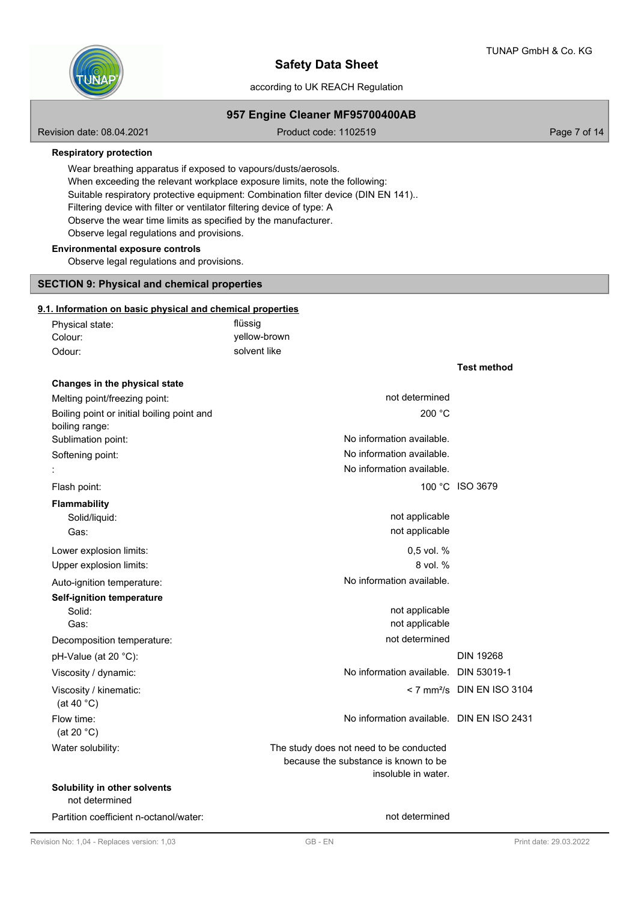**Test method**



# **Safety Data Sheet**

## according to UK REACH Regulation

## **957 Engine Cleaner MF95700400AB**

Revision date: 08.04.2021 **Product code: 1102519** Page 7 of 14

#### **Respiratory protection**

Wear breathing apparatus if exposed to vapours/dusts/aerosols. When exceeding the relevant workplace exposure limits, note the following: Suitable respiratory protective equipment: Combination filter device (DIN EN 141).. Filtering device with filter or ventilator filtering device of type: A Observe the wear time limits as specified by the manufacturer. Observe legal regulations and provisions.

## **Environmental exposure controls**

Observe legal regulations and provisions.

## **SECTION 9: Physical and chemical properties**

## **9.1. Information on basic physical and chemical properties**

| Physical state: | flüssig      |
|-----------------|--------------|
| Colour:         | yellow-brown |
| Odour:          | solvent like |

| Changes in the physical state                  |                                           |                                        |
|------------------------------------------------|-------------------------------------------|----------------------------------------|
| Melting point/freezing point:                  | not determined                            |                                        |
| Boiling point or initial boiling point and     | 200 °C                                    |                                        |
| boiling range:                                 |                                           |                                        |
| Sublimation point:                             | No information available.                 |                                        |
| Softening point:                               | No information available.                 |                                        |
|                                                | No information available.                 |                                        |
| Flash point:                                   |                                           | 100 °C ISO 3679                        |
| <b>Flammability</b>                            |                                           |                                        |
| Solid/liquid:                                  | not applicable                            |                                        |
| Gas:                                           | not applicable                            |                                        |
| Lower explosion limits:                        | 0.5 vol. %                                |                                        |
| Upper explosion limits:                        | 8 vol. %                                  |                                        |
| Auto-ignition temperature:                     | No information available.                 |                                        |
| <b>Self-ignition temperature</b>               |                                           |                                        |
| Solid:                                         | not applicable                            |                                        |
| Gas:                                           | not applicable                            |                                        |
| Decomposition temperature:                     | not determined                            |                                        |
| pH-Value (at 20 °C):                           |                                           | <b>DIN 19268</b>                       |
| Viscosity / dynamic:                           | No information available. DIN 53019-1     |                                        |
| Viscosity / kinematic:<br>(at 40 $°C$ )        |                                           | < 7 mm <sup>2</sup> /s DIN EN ISO 3104 |
| Flow time:<br>(at 20 $°C$ )                    | No information available. DIN EN ISO 2431 |                                        |
| Water solubility:                              | The study does not need to be conducted   |                                        |
|                                                | because the substance is known to be      |                                        |
|                                                | insoluble in water.                       |                                        |
| Solubility in other solvents<br>not determined |                                           |                                        |
| Partition coefficient n-octanol/water:         | not determined                            |                                        |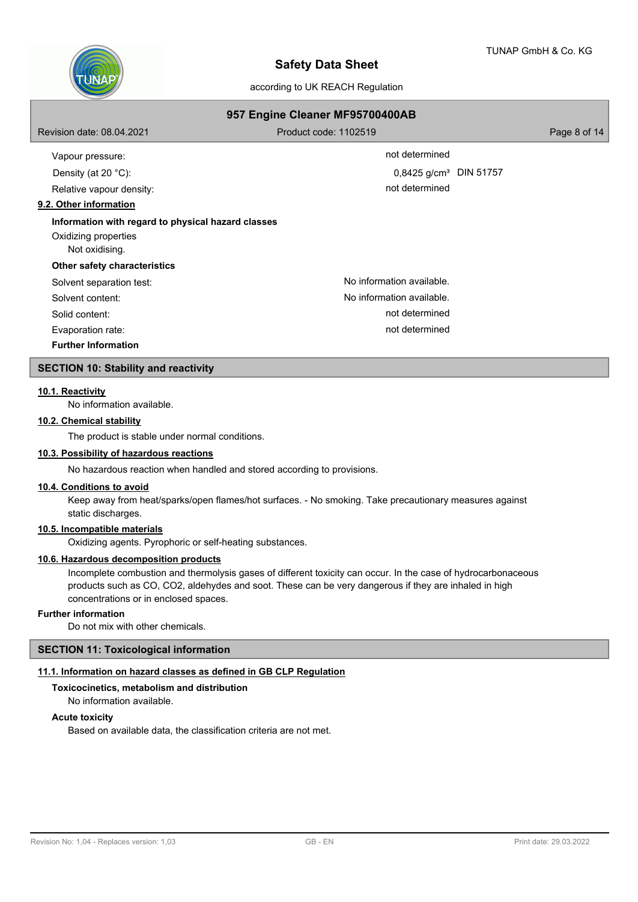

| 957 Engine Cleaner MF95700400AB                                                              |                                    |              |  |  |  |
|----------------------------------------------------------------------------------------------|------------------------------------|--------------|--|--|--|
| Revision date: 08.04.2021                                                                    | Product code: 1102519              | Page 8 of 14 |  |  |  |
| Vapour pressure:                                                                             | not determined                     |              |  |  |  |
| Density (at 20 $°C$ ):                                                                       | 0,8425 g/cm <sup>3</sup> DIN 51757 |              |  |  |  |
| Relative vapour density:                                                                     | not determined                     |              |  |  |  |
| 9.2. Other information                                                                       |                                    |              |  |  |  |
| Information with regard to physical hazard classes<br>Oxidizing properties<br>Not oxidising. |                                    |              |  |  |  |
| <b>Other safety characteristics</b>                                                          |                                    |              |  |  |  |
| Solvent separation test:                                                                     | No information available.          |              |  |  |  |
| Solvent content:                                                                             | No information available.          |              |  |  |  |
| Solid content:                                                                               | not determined                     |              |  |  |  |
| Evaporation rate:                                                                            | not determined                     |              |  |  |  |
| <b>Further Information</b>                                                                   |                                    |              |  |  |  |
| <b>SECTION 10: Stability and reactivity</b>                                                  |                                    |              |  |  |  |

## **10.1. Reactivity**

No information available.

## **10.2. Chemical stability**

The product is stable under normal conditions.

#### **10.3. Possibility of hazardous reactions**

No hazardous reaction when handled and stored according to provisions.

#### **10.4. Conditions to avoid**

Keep away from heat/sparks/open flames/hot surfaces. - No smoking. Take precautionary measures against static discharges.

## **10.5. Incompatible materials**

Oxidizing agents. Pyrophoric or self-heating substances.

## **10.6. Hazardous decomposition products**

Incomplete combustion and thermolysis gases of different toxicity can occur. In the case of hydrocarbonaceous products such as CO, CO2, aldehydes and soot. These can be very dangerous if they are inhaled in high concentrations or in enclosed spaces.

### **Further information**

Do not mix with other chemicals.

### **SECTION 11: Toxicological information**

## **11.1. Information on hazard classes as defined in GB CLP Regulation**

**Toxicocinetics, metabolism and distribution** No information available.

## **Acute toxicity**

Based on available data, the classification criteria are not met.

| Taulas sis silas sus |  |  |  |
|----------------------|--|--|--|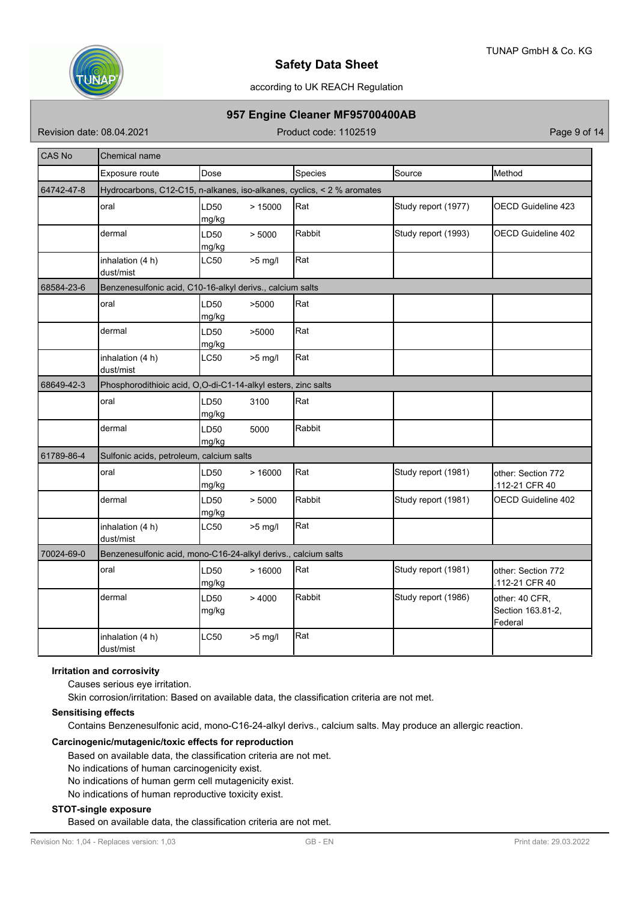

## according to UK REACH Regulation

# **957 Engine Cleaner MF95700400AB**

Revision date: 08.04.2021 **Product code: 1102519** Page 9 of 14

| <b>CAS No</b> | Chemical name                                                          |               |           |         |                     |                                                |
|---------------|------------------------------------------------------------------------|---------------|-----------|---------|---------------------|------------------------------------------------|
|               | Exposure route                                                         | Dose          |           | Species | Source              | Method                                         |
| 64742-47-8    | Hydrocarbons, C12-C15, n-alkanes, iso-alkanes, cyclics, < 2 % aromates |               |           |         |                     |                                                |
|               | oral                                                                   | LD50<br>mg/kg | >15000    | Rat     | Study report (1977) | <b>OECD Guideline 423</b>                      |
|               | dermal                                                                 | LD50<br>mg/kg | > 5000    | Rabbit  | Study report (1993) | OECD Guideline 402                             |
|               | inhalation (4 h)<br>dust/mist                                          | LC50          | $>5$ mg/l | Rat     |                     |                                                |
| 68584-23-6    | Benzenesulfonic acid, C10-16-alkyl derivs., calcium salts              |               |           |         |                     |                                                |
|               | oral                                                                   | LD50<br>mg/kg | >5000     | Rat     |                     |                                                |
|               | dermal                                                                 | LD50<br>mg/kg | >5000     | Rat     |                     |                                                |
|               | inhalation (4 h)<br>dust/mist                                          | <b>LC50</b>   | $>5$ mg/l | Rat     |                     |                                                |
| 68649-42-3    | Phosphorodithioic acid, O,O-di-C1-14-alkyl esters, zinc salts          |               |           |         |                     |                                                |
|               | oral                                                                   | LD50<br>mg/kg | 3100      | Rat     |                     |                                                |
|               | dermal                                                                 | LD50<br>mg/kg | 5000      | Rabbit  |                     |                                                |
| 61789-86-4    | Sulfonic acids, petroleum, calcium salts                               |               |           |         |                     |                                                |
|               | oral                                                                   | LD50<br>mg/kg | >16000    | Rat     | Study report (1981) | other: Section 772<br>.112-21 CFR 40           |
|               | dermal                                                                 | LD50<br>mg/kg | > 5000    | Rabbit  | Study report (1981) | OECD Guideline 402                             |
|               | inhalation (4 h)<br>dust/mist                                          | LC50          | $>5$ mg/l | Rat     |                     |                                                |
| 70024-69-0    | Benzenesulfonic acid, mono-C16-24-alkyl derivs., calcium salts         |               |           |         |                     |                                                |
|               | oral                                                                   | LD50<br>mg/kg | >16000    | Rat     | Study report (1981) | other: Section 772<br>112-21 CFR 40            |
|               | dermal                                                                 | LD50<br>mg/kg | >4000     | Rabbit  | Study report (1986) | other: 40 CFR,<br>Section 163.81-2,<br>Federal |
|               | inhalation (4 h)<br>dust/mist                                          | LC50          | $>5$ mg/l | Rat     |                     |                                                |

## **Irritation and corrosivity**

Causes serious eye irritation.

Skin corrosion/irritation: Based on available data, the classification criteria are not met.

## **Sensitising effects**

Contains Benzenesulfonic acid, mono-C16-24-alkyl derivs., calcium salts. May produce an allergic reaction.

### **Carcinogenic/mutagenic/toxic effects for reproduction**

Based on available data, the classification criteria are not met.

No indications of human carcinogenicity exist.

No indications of human germ cell mutagenicity exist.

No indications of human reproductive toxicity exist.

## **STOT-single exposure**

Based on available data, the classification criteria are not met.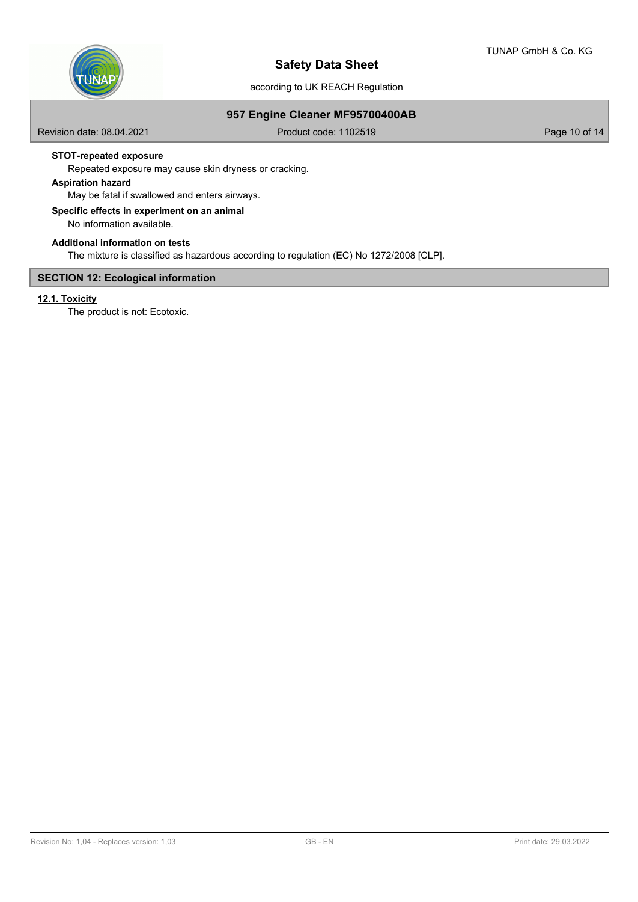

## **957 Engine Cleaner MF95700400AB**

Revision date: 08.04.2021 **Product code: 1102519** Product code: 1102519

## **STOT-repeated exposure**

Repeated exposure may cause skin dryness or cracking.

# **Aspiration hazard**

May be fatal if swallowed and enters airways.

# **Specific effects in experiment on an animal**

No information available.

## **Additional information on tests**

The mixture is classified as hazardous according to regulation (EC) No 1272/2008 [CLP].

## **SECTION 12: Ecological information**

# **12.1. Toxicity**

The product is not: Ecotoxic.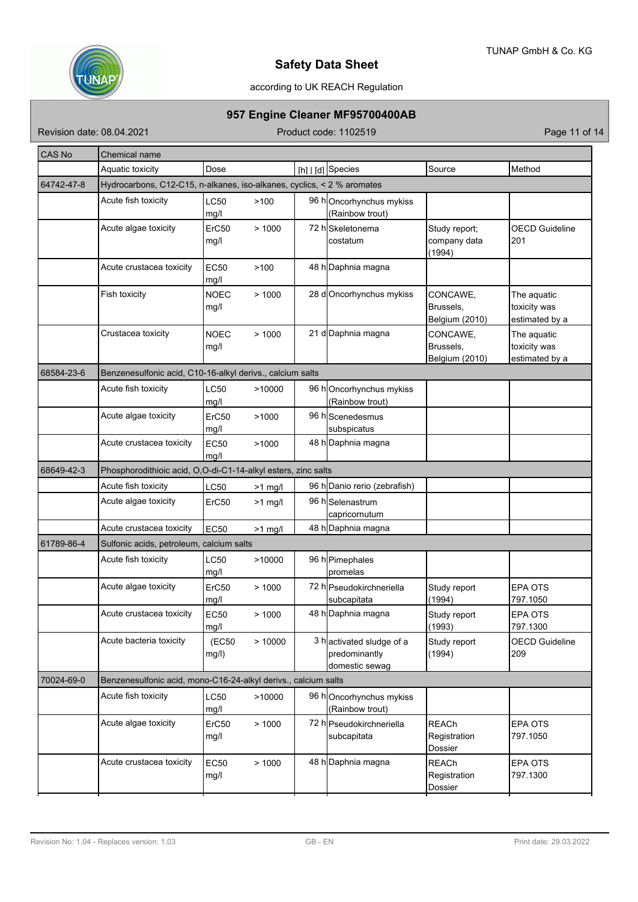

# according to UK REACH Regulation

# **957 Engine Cleaner MF95700400AB**

Revision date: 08.04.2021 **Product code: 1102519** Product code: 1102519

| CAS No     | Chemical name                                                          |                     |           |  |                                                             |                                         |                                               |  |
|------------|------------------------------------------------------------------------|---------------------|-----------|--|-------------------------------------------------------------|-----------------------------------------|-----------------------------------------------|--|
|            | Aquatic toxicity                                                       | Dose                |           |  | [h]   [d] Species                                           | Source                                  | Method                                        |  |
| 64742-47-8 | Hydrocarbons, C12-C15, n-alkanes, iso-alkanes, cyclics, < 2 % aromates |                     |           |  |                                                             |                                         |                                               |  |
|            | Acute fish toxicity                                                    | LC50<br>mg/l        | >100      |  | 96 hOncorhynchus mykiss<br>(Rainbow trout)                  |                                         |                                               |  |
|            | Acute algae toxicity                                                   | ErC50<br>mg/l       | >1000     |  | 72 hSkeletonema<br>costatum                                 | Study report;<br>company data<br>(1994) | <b>OECD Guideline</b><br>201                  |  |
|            | Acute crustacea toxicity                                               | <b>EC50</b><br>mg/l | >100      |  | 48 h Daphnia magna                                          |                                         |                                               |  |
|            | Fish toxicity                                                          | <b>NOEC</b><br>mg/l | >1000     |  | 28 d Oncorhynchus mykiss                                    | CONCAWE,<br>Brussels,<br>Belgium (2010) | The aquatic<br>toxicity was<br>estimated by a |  |
|            | Crustacea toxicity                                                     | <b>NOEC</b><br>mg/l | >1000     |  | 21 d Daphnia magna                                          | CONCAWE,<br>Brussels,<br>Belgium (2010) | The aquatic<br>toxicity was<br>estimated by a |  |
| 68584-23-6 | Benzenesulfonic acid, C10-16-alkyl derivs., calcium salts              |                     |           |  |                                                             |                                         |                                               |  |
|            | Acute fish toxicity                                                    | <b>LC50</b><br>mg/l | >10000    |  | 96 hOncorhynchus mykiss<br>(Rainbow trout)                  |                                         |                                               |  |
|            | Acute algae toxicity                                                   | ErC50<br>mg/l       | >1000     |  | 96 h Scenedesmus<br>subspicatus                             |                                         |                                               |  |
|            | Acute crustacea toxicity                                               | EC50<br>mg/l        | >1000     |  | 48 h Daphnia magna                                          |                                         |                                               |  |
| 68649-42-3 | Phosphorodithioic acid, O,O-di-C1-14-alkyl esters, zinc salts          |                     |           |  |                                                             |                                         |                                               |  |
|            | Acute fish toxicity                                                    | LC50                | $>1$ mg/l |  | 96 h Danio rerio (zebrafish)                                |                                         |                                               |  |
|            | Acute algae toxicity                                                   | ErC50               | $>1$ mg/l |  | 96 hSelenastrum<br>capricornutum                            |                                         |                                               |  |
|            | Acute crustacea toxicity                                               | <b>EC50</b>         | $>1$ mg/l |  | 48 h Daphnia magna                                          |                                         |                                               |  |
| 61789-86-4 | Sulfonic acids, petroleum, calcium salts                               |                     |           |  |                                                             |                                         |                                               |  |
|            | Acute fish toxicity                                                    | LC50<br>mg/l        | >10000    |  | 96 h Pimephales<br>promelas                                 |                                         |                                               |  |
|            | Acute algae toxicity                                                   | ErC50<br>mg/l       | >1000     |  | 72 h Pseudokirchneriella<br>subcapitata                     | Study report<br>(1994)                  | <b>EPA OTS</b><br>797.1050                    |  |
|            | Acute crustacea toxicity                                               | EC50<br>ma/l        | >1000     |  | 48 h Daphnia magna                                          | Study report<br>(1993)                  | <b>EPA OTS</b><br>797.1300                    |  |
|            | Acute bacteria toxicity                                                | (EC50<br>mg/l)      | >10000    |  | 3 hactivated sludge of a<br>predominantly<br>domestic sewag | Study report<br>(1994)                  | <b>OECD Guideline</b><br>209                  |  |
| 70024-69-0 | Benzenesulfonic acid, mono-C16-24-alkyl derivs., calcium salts         |                     |           |  |                                                             |                                         |                                               |  |
|            | Acute fish toxicity                                                    | LC50<br>mg/l        | >10000    |  | 96 hOncorhynchus mykiss<br>(Rainbow trout)                  |                                         |                                               |  |
|            | Acute algae toxicity                                                   | ErC50<br>mg/l       | >1000     |  | 72 h Pseudokirchneriella<br>subcapitata                     | <b>REACh</b><br>Registration<br>Dossier | EPA OTS<br>797.1050                           |  |
|            | Acute crustacea toxicity                                               | <b>EC50</b><br>mg/l | >1000     |  | 48 h Daphnia magna                                          | <b>REACh</b><br>Registration<br>Dossier | EPA OTS<br>797.1300                           |  |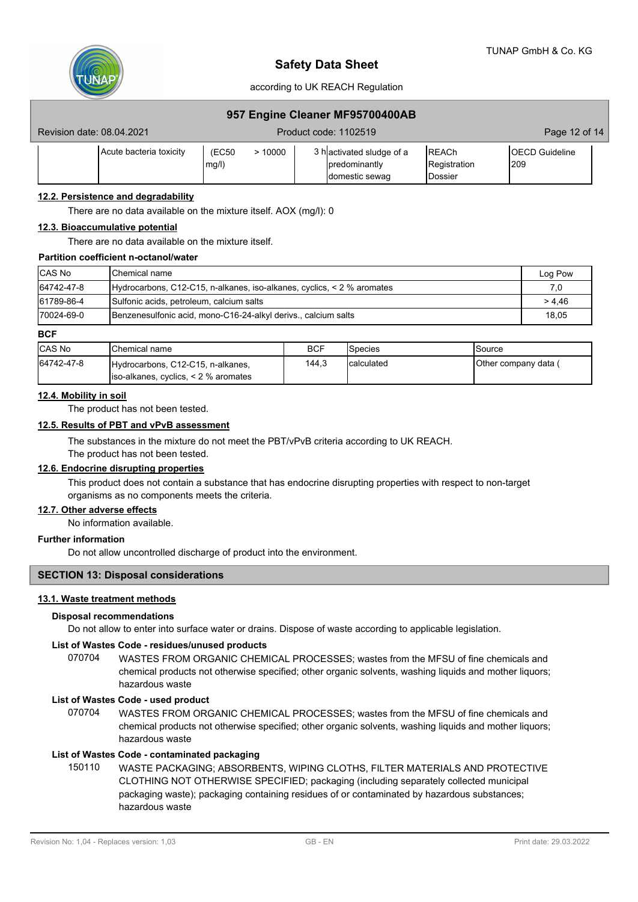

## according to UK REACH Regulation

## **957 Engine Cleaner MF95700400AB**

| Revision date: 08.04.2021 |                          | Product code: 1102519                                        | Page 12 of 14                                    |                                |
|---------------------------|--------------------------|--------------------------------------------------------------|--------------------------------------------------|--------------------------------|
| Acute bacteria toxicity   | (EC50<br>>10000<br>mg/l) | 3 hactivated sludge of a<br>predominantly<br>Idomestic sewag | <b>IREACh</b><br>Registration<br><b>IDossier</b> | <b>IOECD Guideline</b><br>l209 |

## **12.2. Persistence and degradability**

There are no data available on the mixture itself. AOX (mg/l): 0

#### **12.3. Bioaccumulative potential**

There are no data available on the mixture itself.

#### **Partition coefficient n-octanol/water**

| <b>CAS No</b> | <b>IChemical name</b>                                                      | Log Pow |
|---------------|----------------------------------------------------------------------------|---------|
| 64742-47-8    | $Hydrocarbons, C12-C15, n-alkanes, iso-alkanes, cyclics, \lt 2\% aromates$ | 7.0     |
| 61789-86-4    | Sulfonic acids, petroleum, calcium salts                                   | > 4,46  |
| 170024-69-0   | Benzenesulfonic acid, mono-C16-24-alkyl derivs., calcium salts             | 18.05   |

#### **BCF**

| <b>CAS No</b> | <b>I</b> Chemical name                                                        | <b>BCF</b> | <b>Species</b> | lSource               |
|---------------|-------------------------------------------------------------------------------|------------|----------------|-----------------------|
| 64742-47-8    | Hydrocarbons, C12-C15, n-alkanes,<br>$ $ iso-alkanes, cyclics, < 2 % aromates | 144.3      | Icalculated    | IOther company data ( |

#### **12.4. Mobility in soil**

The product has not been tested.

### **12.5. Results of PBT and vPvB assessment**

The substances in the mixture do not meet the PBT/vPvB criteria according to UK REACH.

The product has not been tested.

# **12.6. Endocrine disrupting properties**

This product does not contain a substance that has endocrine disrupting properties with respect to non-target organisms as no components meets the criteria.

#### **12.7. Other adverse effects**

No information available.

## **Further information**

Do not allow uncontrolled discharge of product into the environment.

## **SECTION 13: Disposal considerations**

## **13.1. Waste treatment methods**

#### **Disposal recommendations**

Do not allow to enter into surface water or drains. Dispose of waste according to applicable legislation.

### **List of Wastes Code - residues/unused products**

070704 WASTES FROM ORGANIC CHEMICAL PROCESSES; wastes from the MFSU of fine chemicals and chemical products not otherwise specified; other organic solvents, washing liquids and mother liquors; hazardous waste

#### **List of Wastes Code - used product**

WASTES FROM ORGANIC CHEMICAL PROCESSES; wastes from the MFSU of fine chemicals and chemical products not otherwise specified; other organic solvents, washing liquids and mother liquors; hazardous waste 070704

### **List of Wastes Code - contaminated packaging**

WASTE PACKAGING; ABSORBENTS, WIPING CLOTHS, FILTER MATERIALS AND PROTECTIVE CLOTHING NOT OTHERWISE SPECIFIED; packaging (including separately collected municipal packaging waste); packaging containing residues of or contaminated by hazardous substances; hazardous waste 150110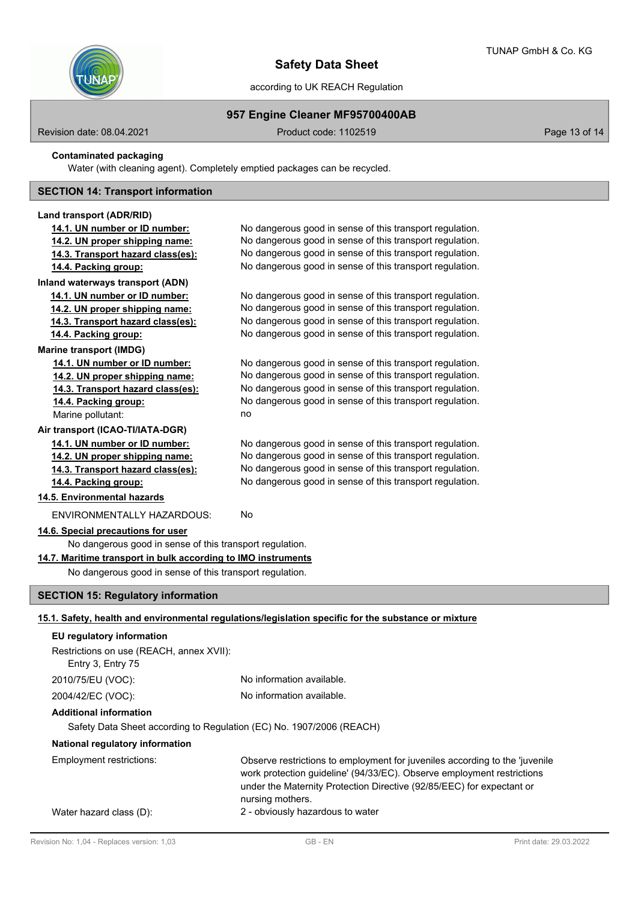

## **957 Engine Cleaner MF95700400AB**

Revision date: 08.04.2021 Contract Code: 1102519 Product code: 1102519 Page 13 of 14

**Contaminated packaging**

Water (with cleaning agent). Completely emptied packages can be recycled.

## **SECTION 14: Transport information**

#### **Land transport (ADR/RID)**

- **14.1. UN number or ID number:** No dangerous good in sense of this transport regulation. **14.2. UN proper shipping name:** No dangerous good in sense of this transport regulation. **14.3. Transport hazard class(es):** No dangerous good in sense of this transport regulation.
- **14.4. Packing group:** No dangerous good in sense of this transport regulation.

# **Inland waterways transport (ADN)**

**14.1. UN number or ID number:** No dangerous good in sense of this transport regulation. **14.2. UN proper shipping name:** No dangerous good in sense of this transport regulation.

**14.3. Transport hazard class(es):** No dangerous good in sense of this transport regulation.

**14.4. Packing group:** No dangerous good in sense of this transport regulation.

# **Marine transport (IMDG)**

**14.1. UN number or ID number:** No dangerous good in sense of this transport regulation. **14.2. UN proper shipping name:** No dangerous good in sense of this transport regulation. **14.3. Transport hazard class(es):** No dangerous good in sense of this transport regulation. **14.4. Packing group:** No dangerous good in sense of this transport regulation. Marine pollutant: no

### **Air transport (ICAO-TI/IATA-DGR)**

**14.1. UN number or ID number:** No dangerous good in sense of this transport regulation. **14.2. UN proper shipping name:** No dangerous good in sense of this transport regulation. **14.3. Transport hazard class(es):** No dangerous good in sense of this transport regulation.

**14.4. Packing group:** No dangerous good in sense of this transport regulation.

## **14.5. Environmental hazards**

ENVIRONMENTALLY HAZARDOUS: No

## **14.6. Special precautions for user**

No dangerous good in sense of this transport regulation.

**14.7. Maritime transport in bulk according to IMO instruments**

No dangerous good in sense of this transport regulation.

# **SECTION 15: Regulatory information**

# **15.1. Safety, health and environmental regulations/legislation specific for the substance or mixture**

| EU regulatory information                                                                             |                                                                                                                                                                                                                                                    |  |  |  |  |
|-------------------------------------------------------------------------------------------------------|----------------------------------------------------------------------------------------------------------------------------------------------------------------------------------------------------------------------------------------------------|--|--|--|--|
| Restrictions on use (REACH, annex XVII):<br>Entry 3, Entry 75                                         |                                                                                                                                                                                                                                                    |  |  |  |  |
| 2010/75/EU (VOC):                                                                                     | No information available.                                                                                                                                                                                                                          |  |  |  |  |
| 2004/42/EC (VOC):                                                                                     | No information available.                                                                                                                                                                                                                          |  |  |  |  |
| <b>Additional information</b><br>Safety Data Sheet according to Regulation (EC) No. 1907/2006 (REACH) |                                                                                                                                                                                                                                                    |  |  |  |  |
|                                                                                                       |                                                                                                                                                                                                                                                    |  |  |  |  |
| National regulatory information                                                                       |                                                                                                                                                                                                                                                    |  |  |  |  |
| Employment restrictions:                                                                              | Observe restrictions to employment for juveniles according to the 'juvenile<br>work protection quideline' (94/33/EC). Observe employment restrictions<br>under the Maternity Protection Directive (92/85/EEC) for expectant or<br>nursing mothers. |  |  |  |  |
| Water hazard class (D):                                                                               | 2 - obviously hazardous to water                                                                                                                                                                                                                   |  |  |  |  |
|                                                                                                       |                                                                                                                                                                                                                                                    |  |  |  |  |